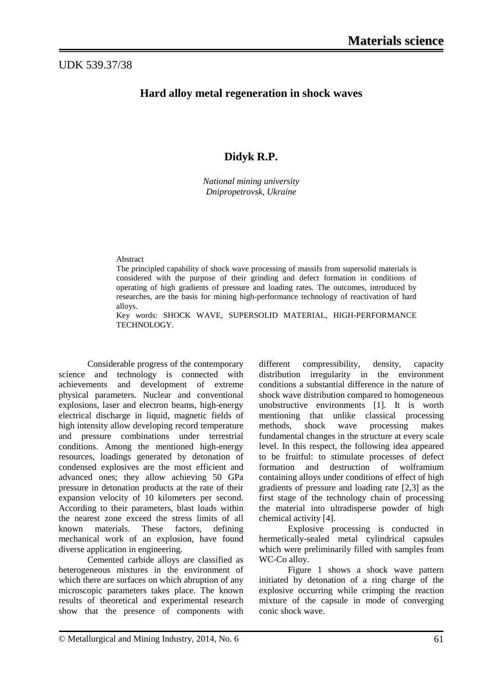## UDK 539.37/38

## **Hard alloy metal regeneration in shock waves**

# **Didyk R.P.**

*National mining university Dnipropetrovsk, Ukraine*

#### Abstract

The principled capability of shock wave processing of massifs from supersolid materials is considered with the purpose of their grinding and defect formation in conditions of operating of high gradients of pressure and loading rates. The outcomes, introduced by researches, are the basis for mining high-performance technology of reactivation of hard alloys.

Key words: SHOCK WAVE, SUPERSOLID MATERIAL, HIGH-PERFORMANCE TECHNOLOGY.

Considerable progress of the contemporary science and technology is connected with achievements and development of extreme physical parameters. Nuclear and conventional explosions, laser and electron beams, high-energy electrical discharge in liquid, magnetic fields of high intensity allow developing record temperature and pressure combinations under terrestrial conditions. Among the mentioned high-energy resources, loadings generated by detonation of condensed explosives are the most efficient and advanced ones; they allow achieving 50 GPa pressure in detonation products at the rate of their expansion velocity of 10 kilometers per second. According to their parameters, blast loads within the nearest zone exceed the stress limits of all known materials. These factors, defining mechanical work of an explosion, have found diverse application in engineering.

Cemented carbide alloys are classified as heterogeneous mixtures in the environment of which there are surfaces on which abruption of any microscopic parameters takes place. The known results of theoretical and experimental research show that the presence of components with different compressibility, density, capacity distribution irregularity in the environment conditions a substantial difference in the nature of shock wave distribution compared to homogeneous unobstructive environments [1]. It is worth mentioning that unlike classical processing methods, shock wave processing makes fundamental changes in the structure at every scale level. In this respect, the following idea appeared to be fruitful: to stimulate processes of defect formation and destruction of wolframium containing alloys under conditions of effect of high gradients of pressure and loading rate [2,3] as the first stage of the technology chain of processing the material into ultradisperse powder of high chemical activity [4].

Explosive processing is conducted in hermetically-sealed metal cylindrical capsules which were preliminarily filled with samples from WC-Co alloy.

Figure 1 shows a shock wave pattern initiated by detonation of a ring charge of the explosive occurring while crimping the reaction mixture of the capsule in mode of converging conic shock wave.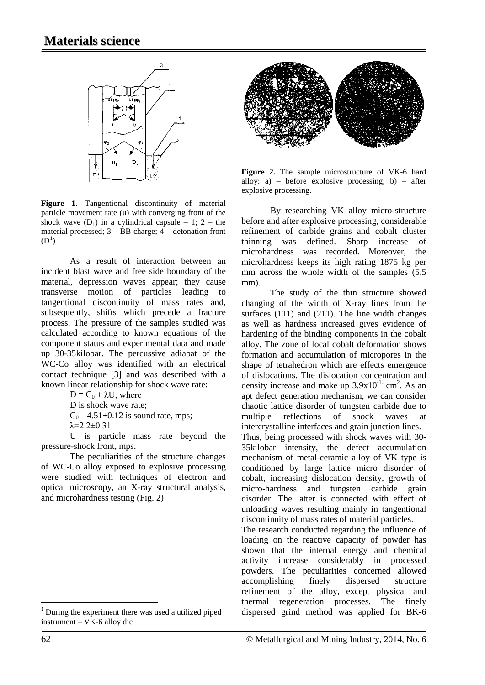

Figure 1. Tangentional discontinuity of material particle movement rate (u) with converging front of the shock wave  $(D_1)$  in a cylindrical capsule – 1; 2 – the material processed; 3 – BB charge; 4 – detonation front  $(D^1)$  $(D^1)$  $(D^1)$ 

As a result of interaction between an incident blast wave and free side boundary of the material, depression waves appear; they cause transverse motion of particles leading to tangentional discontinuity of mass rates and, subsequently, shifts which precede a fracture process. The pressure of the samples studied was calculated according to known equations of the component status and experimental data and made up 30-35kilobar. The percussive adiabat of the WC-Co alloy was identified with an electrical contact technique [3] and was described with a known linear relationship for shock wave rate:

 $D = C_0 + \lambda U$ , where

D is shock wave rate;

 $C_0 - 4.51 \pm 0.12$  is sound rate, mps;

 $λ=2.2±0.31$ 

U is particle mass rate beyond the pressure-shock front, mps.

The peculiarities of the structure changes of WC-Co alloy exposed to explosive processing were studied with techniques of electron and optical microscopy, an X-ray structural analysis, and microhardness testing (Fig. 2)



**Figure 2.** The sample microstructure of VK-6 hard alloy:  $a$ ) – before explosive processing;  $b$ ) – after explosive processing.

By researching VK alloy micro-structure before and after explosive processing, considerable refinement of carbide grains and cobalt cluster thinning was defined. Sharp increase of microhardness was recorded. Moreover, the microhardness keeps its high rating 1875 kg per mm across the whole width of the samples  $(5.5)$ mm).

The study of the thin structure showed changing of the width of X-ray lines from the surfaces (111) and (211). The line width changes as well as hardness increased gives evidence of hardening of the binding components in the cobalt alloy. The zone of local cobalt deformation shows formation and accumulation of micropores in the shape of tetrahedron which are effects emergence of dislocations. The dislocation concentration and density increase and make up  $3.9x10^{-1}$ 1cm<sup>2</sup>. As an apt defect generation mechanism, we can consider chaotic lattice disorder of tungsten carbide due to multiple reflections of shock waves at intercrystalline interfaces and grain junction lines. Thus, being processed with shock waves with 30- 35kilobar intensity, the defect accumulation mechanism of metal-ceramic alloy of VK type is conditioned by large lattice micro disorder of cobalt, increasing dislocation density, growth of micro-hardness and tungsten carbide grain disorder. The latter is connected with effect of unloading waves resulting mainly in tangentional discontinuity of mass rates of material particles.

The research conducted regarding the influence of loading on the reactive capacity of powder has shown that the internal energy and chemical activity increase considerably in processed powders. The peculiarities concerned allowed accomplishing finely dispersed structure refinement of the alloy, except physical and thermal regeneration processes. The finely dispersed grind method was applied for BK-6

l

<span id="page-1-0"></span> $1$  During the experiment there was used a utilized piped instrument – VK-6 alloy die